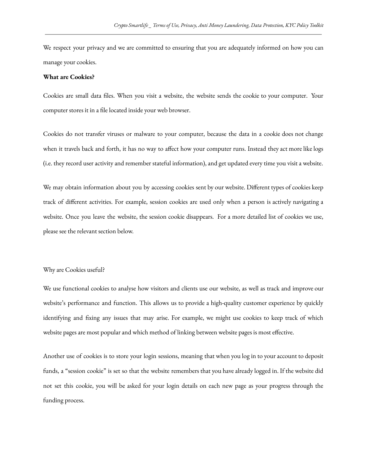We respect your privacy and we are committed to ensuring that you are adequately informed on how you can manage your cookies.

## **What are Cookies?**

Cookies are small data files. When you visit a website, the website sends the cookie to your computer. Your computer stores it in a file located inside your web browser.

Cookies do not transfer viruses or malware to your computer, because the data in a cookie does not change when it travels back and forth, it has no way to affect how your computer runs. Instead they act more like logs (i.e. they record user activity and remember stateful information), and get updated every time you visit a website.

We may obtain information about you by accessing cookies sent by our website. Different types of cookies keep track of different activities. For example, session cookies are used only when a person is actively navigating a website. Once you leave the website, the session cookie disappears. For a more detailed list of cookies we use, please see the relevant section below.

## Why are Cookies useful?

We use functional cookies to analyse how visitors and clients use our website, as well as track and improve our website's performance and function. This allows us to provide a high-quality customer experience by quickly identifying and fixing any issues that may arise. For example, we might use cookies to keep track of which website pages are most popular and which method of linking between website pages is most effective.

Another use of cookies is to store your login sessions, meaning that when you log in to your account to deposit funds, a "session cookie" is set so that the website remembers that you have already logged in. If the website did not set this cookie, you will be asked for your login details on each new page as your progress through the funding process.